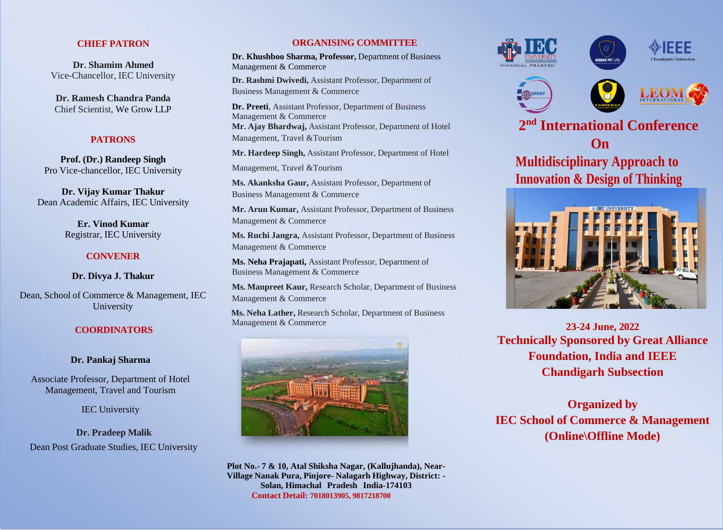## **CHIEF PATRON**

**Dr. Shamim Ahmed** Vice-Chancellor, IEC University

**Dr. Ramesh Chandra Panda** Chief Scientist, We Grow LLP

## **PATRONS**

**Prof. (Dr.) Randeep Singh** Pro Vice-chancellor, IEC University

**Dr. Vijay Kumar Thakur** Dean Academic Affairs, IEC University

> **Er. Vinod Kumar** Registrar, IEC University

# **CONVENER**

**Dr. Divya J. Thakur**

Dean, School of Commerce & Management, IEC University

## **COORDINATORS**

## **Dr. Pankaj Sharma**

Associate Professor, Department of Hotel Management, Travel and Tourism

IEC University

**Dr. Pradeep Malik** Dean Post Graduate Studies, IEC University

## **ORGANISING COMMITTEE**

**Dr. Khushboo Sharma, Professor,** Department of Business Management & Commerce

**Dr. Rashmi Dwivedi,** Assistant Professor, Department of Business Management & Commerce

**Dr. Preeti**, Assistant Professor, Department of Business Management & Commerce **Mr. Ajay Bhardwaj,** Assistant Professor, Department of Hotel Management, Travel &Tourism

**Mr. Hardeep Singh,** Assistant Professor, Department of Hotel

Management, Travel &Tourism

**Ms. Akanksha Gaur,** Assistant Professor, Department of Business Management & Commerce

**Mr. Arun Kumar,** Assistant Professor, Department of Business Management & Commerce

**Ms. Ruchi Jangra,** Assistant Professor, Department of Business Management & Commerce

**Ms. Neha Prajapati,** Assistant Professor, Department of Business Management & Commerce

**Ms. Manpreet Kaur,** Research Scholar, Department of Business Management & Commerce

**Ms. Neha Lather,** Research Scholar, Department of Business Management & Commerce



**Plot No.- 7 & 10, Atal Shiksha Nagar, (Kallujhanda), Near-Village Nanak Pura, Pinjore- Nalagarh Highway, District: - Solan, Himachal Pradesh India-174103 Contact Detail: 7018013905, 9817218700**











**2 International Conference On Multidisciplinary Approach to Innovation & Design of Thinking**



**23-24 June, 2022 Technically Sponsored by Great Alliance Foundation, India and IEEE Chandigarh Subsection**

**Organized by IEC School of Commerce & Management (Online\Offline Mode)**